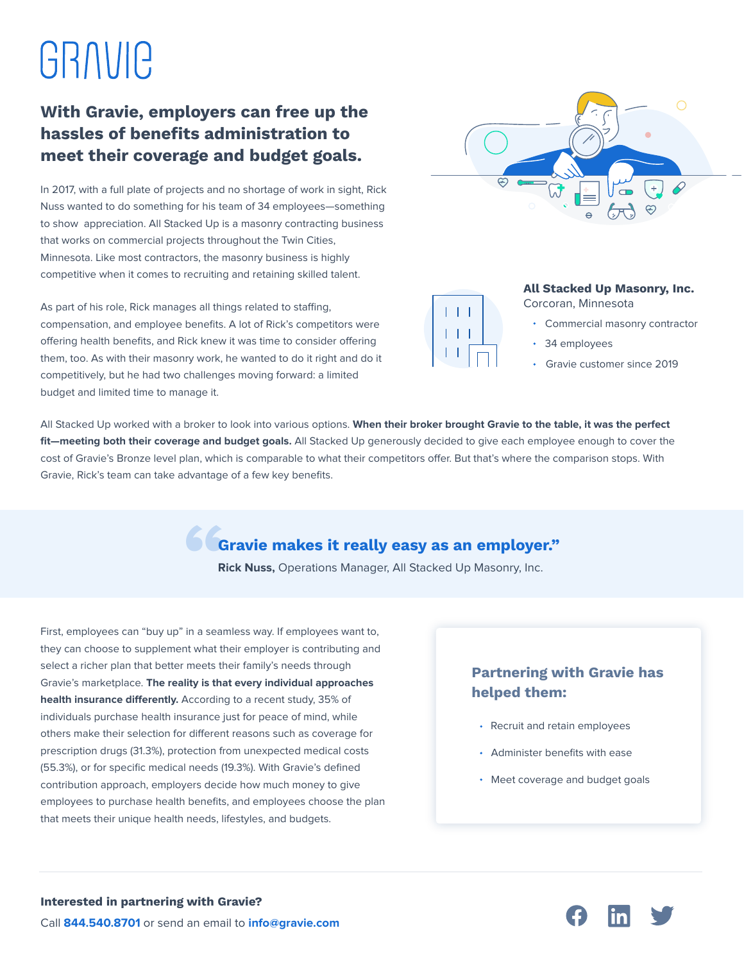# GRAVIC

### **With Gravie, employers can free up the hassles of benefits administration to meet their coverage and budget goals.**

In 2017, with a full plate of projects and no shortage of work in sight, Rick Nuss wanted to do something for his team of 34 employees—something to show appreciation. All Stacked Up is a masonry contracting business that works on commercial projects throughout the Twin Cities, Minnesota. Like most contractors, the masonry business is highly competitive when it comes to recruiting and retaining skilled talent.

As part of his role, Rick manages all things related to staffing, compensation, and employee benefits. A lot of Rick's competitors were offering health benefits, and Rick knew it was time to consider offering them, too. As with their masonry work, he wanted to do it right and do it competitively, but he had two challenges moving forward: a limited budget and limited time to manage it.





#### **All Stacked Up Masonry, Inc.** Corcoran, Minnesota

- Commercial masonry contractor
- 34 employees
- Gravie customer since 2019

All Stacked Up worked with a broker to look into various options. **When their broker brought Gravie to the table, it was the perfect fit—meeting both their coverage and budget goals.** All Stacked Up generously decided to give each employee enough to cover the cost of Gravie's Bronze level plan, which is comparable to what their competitors offer. But that's where the comparison stops. With Gravie, Rick's team can take advantage of a few key benefits.

## **Gravie makes it really easy as an employer." "**

**Rick Nuss,** Operations Manager, All Stacked Up Masonry, Inc.

First, employees can "buy up" in a seamless way. If employees want to, they can choose to supplement what their employer is contributing and select a richer plan that better meets their family's needs through Gravie's marketplace. **The reality is that every individual approaches**  health insurance differently. According to a recent study, 35% of individuals purchase health insurance just for peace of mind, while others make their selection for different reasons such as coverage for prescription drugs (31.3%), protection from unexpected medical costs (55.3%), or for specific medical needs (19.3%). With Gravie's defined contribution approach, employers decide how much money to give employees to purchase health benefits, and employees choose the plan that meets their unique health needs, lifestyles, and budgets.

#### **Partnering with Gravie has helped them:**

- Recruit and retain employees
- Administer benefits with ease
- Meet coverage and budget goals